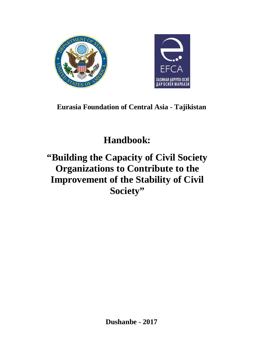



# **Eurasia Foundation of Central Asia - Tajikistan**

# **Handbook:**

# **"Building the Capacity of Civil Society Organizations to Contribute to the Improvement of the Stability of Civil Society"**

**Dushanbe - 2017**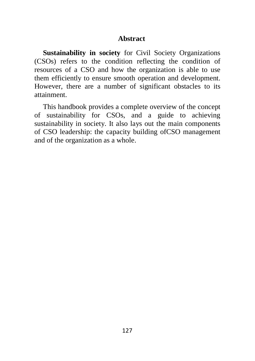#### **Abstract**

**Sustainability in society** for Civil Society Organizations (CSOs) refers to the condition reflecting the condition of resources of a CSO and how the organization is able to use them efficiently to ensure smooth operation and development. However, there are a number of significant obstacles to its attainment.

This handbook provides a complete overview of the concept of sustainability for CSOs, and a guide to achieving sustainability in society. It also lays out the main components of CSO leadership: the capacity building ofCSO management and of the organization as a whole.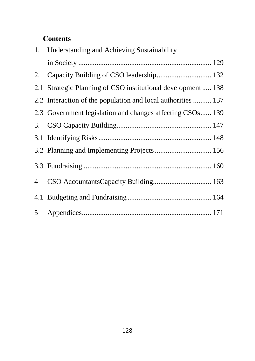# **Соntents**

|                | 1. Understanding and Achieving Sustainability                |
|----------------|--------------------------------------------------------------|
|                |                                                              |
|                |                                                              |
|                | 2.1 Strategic Planning of CSO institutional development  138 |
|                | 2.2 Interaction of the population and local authorities  137 |
|                | 2.3 Government legislation and changes affecting CSOs 139    |
|                |                                                              |
|                |                                                              |
|                | 3.2 Planning and Implementing Projects  156                  |
|                |                                                              |
| $\overline{4}$ |                                                              |
|                |                                                              |
|                |                                                              |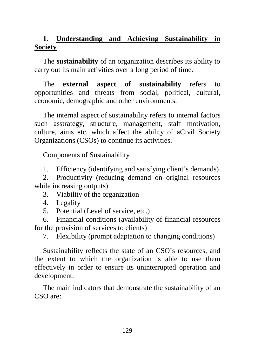# **1. Understanding and Achieving Sustainability in Society**

The **sustainability** of an organization describes its ability to carry out its main activities over a long period of time.

The **external aspect of sustainability** refers to opportunities and threats from social, political, cultural, economic, demographic and other environments.

The internal aspect of sustainability refers to internal factors such asstrategy, structure, management, staff motivation, culture, aims etc, which affect the ability of aCivil Society Organizations (CSOs) to continue its activities.

Components of Sustainability

1. Efficiency (identifying and satisfying client's demands)

2. Productivity (reducing demand on original resources while increasing outputs)

3. Viability of the organization

4. Legality

5. Potential (Level of service, etc.)

6. Financial conditions (availability of financial resources for the provision of services to clients)

7. Flexibility (prompt adaptation to changing conditions)

Sustainability reflects the state of an CSO's resources, and the extent to which the organization is able to use them effectively in order to ensure its uninterrupted operation and development.

The main indicators that demonstrate the sustainability of an CSO are: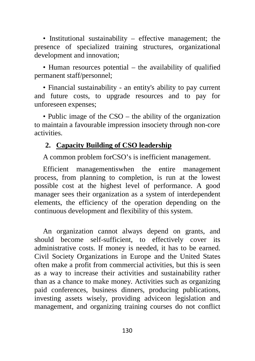• Institutional sustainability – effective management; the presence of specialized training structures, organizational development and innovation;

• Human resources potential – the availability of qualified permanent staff/personnel;

• Financial sustainability - an entity's ability to pay current and future costs, to upgrade resources and to pay for unforeseen expenses;

• Public image of the CSO – the ability of the organization to maintain a favourable impression insociety through non-core activities.

## **2. Capacity Building of CSO leadership**

A common problem forCSO's is inefficient management.

Efficient managementiswhen the entire management process, from planning to completion, is run at the lowest possible cost at the highest level of performance. A good manager sees their organization as a system of interdependent elements, the efficiency of the operation depending on the continuous development and flexibility of this system.

An organization cannot always depend on grants, and should become self-sufficient, to effectively cover its administrative costs. If money is needed, it has to be earned. Civil Society Organizations in Europe and the United States often make a profit from commercial activities, but this is seen as a way to increase their activities and sustainability rather than as a chance to make money. Activities such as organizing paid conferences, business dinners, producing publications, investing assets wisely, providing adviceon legislation and management, and organizing training courses do not conflict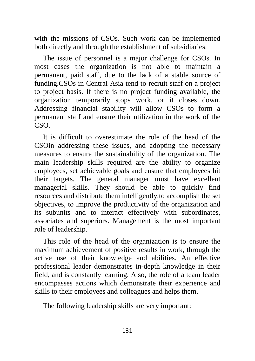with the missions of CSOs. Such work can be implemented both directly and through the establishment of subsidiaries.

The issue of personnel is a major challenge for CSOs. In most cases the organization is not able to maintain a permanent, paid staff, due to the lack of a stable source of funding.CSOs in Central Asia tend to recruit staff on a project to project basis. If there is no project funding available, the organization temporarily stops work, or it closes down. Addressing financial stability will allow CSOs to form a permanent staff and ensure their utilization in the work of the CSO.

It is difficult to overestimate the role of the head of the CSOin addressing these issues, and adopting the necessary measures to ensure the sustainability of the organization. The main leadership skills required are the ability to organize employees, [set achievable goals](http://constructorus.ru/uspex/postanovka-celi.html) and ensure that employees hit their targets. The general manager must have excellent managerial skills. They should be able to quickly find resources and distribute them intelligently,to [accomplish](http://constructorus.ru/samorazvitie/produktivnost.html) the set objectives, to improve the productivity of the organization and its subunits and to interact effectively with subordinates, associates and superiors. Management is the most important role of leadership.

This role of the head of the organization is to ensure the maximum achievement of positive results in work, through the active use of their knowledge and abilities. An effective professional leader demonstrates in-depth knowledge in their field, and is constantly learning. Also, the role of a team leader encompasses actions which demonstrate their experience and skills to their employees and colleagues and helps them.

The following leadership skills are very important: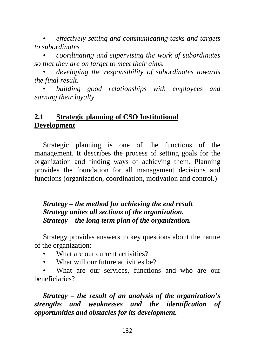• *effectively setting and communicating tasks and targets to subordinates*

• *coordinating and supervising the work of subordinates so that they are on target to meet their aims.*

• *developing the responsibility of subordinates towards the final result.*

• *building good relationships with employees and earning their loyalty.*

## **2.1 Strategic planning of CSO Institutional Development**

Strategic planning is one of the functions of the management. It describes the process of setting goals for the organization and finding ways of achieving them. Planning provides the foundation for all management decisions and functions (organization, coordination, motivation and control.)

## *Strategy – the method for achieving the end result Strategy unites all sections of the organization. Strategy – the long term plan of the organization.*

Strategy provides answers to key questions about the nature of the organization:

- What are our current activities?
- What will our future activities be?

What are our services, functions and who are our beneficiaries?

*Strategy – the result of an analysis of the organization's strengths and weaknesses and the identification of opportunities and obstacles for its development.*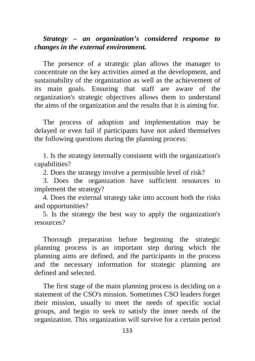### *Strategy – an organization's considered response to changes in the external environment.*

The presence of a strategic plan allows the manager to concentrate on the key activities aimed at the development, and sustainability of the organization as well as the achievement of its main goals. Ensuring that staff are aware of the organization's strategic objectives allows them to understand the aims of the organization and the results that it is aiming for.

The process of adoption and implementation may be delayed or even fail if participants have not asked themselves the following questions during the planning process:

1. Is the strategy internally consistent with the organization's capabilities?

2. Does the strategy involve a permissible level of risk?

3. Does the organization have sufficient resources to implement the strategy?

4. Does the external strategy take into account both the risks and opportunities?

5. Is the strategy the best way to apply the organization's resources?

Thorough preparation before beginning the strategic planning process is an important step during which the planning aims are defined, and the participants in the process and the necessary information for strategic planning are defined and selected.

The first stage of the main planning process is deciding on a statement of the CSO's mission. Sometimes CSO leaders forget their mission, usually to meet the needs of specific social groups, and begin to seek to satisfy the inner needs of the organization. This organization will survive for a certain period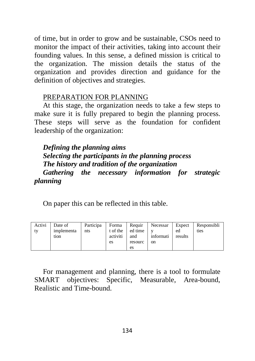of time, but in order to grow and be sustainable, CSOs need to monitor the impact of their activities, taking into account their founding values. In this sense, a defined mission is critical to the organization. The mission details the status of the organization and provides direction and guidance for the definition of objectives and strategies.

#### PREPARATION FOR PLANNING

At this stage, the organization needs to take a few steps to make sure it is fully prepared to begin the planning process. These steps will serve as the foundation for confident leadership of the organization:

*Defining the planning aims Selecting the participants in the planning process The history and tradition of the organization Gathering the necessary information for strategic planning*

On paper this can be reflected in this table.

| Activi<br>∣tv | Date of<br>implementa<br>tion | Participa<br>nts | Forma<br>t of the<br>activiti | Requir<br>ed time<br>and | Necessar<br>informati | Expect<br>ed<br>results | Responsibli<br>ties |
|---------------|-------------------------------|------------------|-------------------------------|--------------------------|-----------------------|-------------------------|---------------------|
|               |                               |                  | es                            | resourc                  | on                    |                         |                     |
|               |                               |                  |                               | es                       |                       |                         |                     |

For management and planning, there is a tool to formulate SMART objectives: Specific, Measurable, Area-bound, Realistic and Time-bound.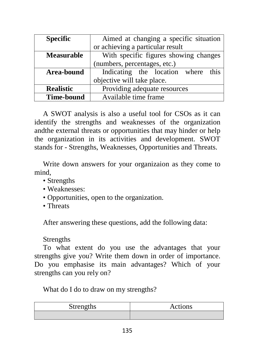| <b>Specific</b>   | Aimed at changing a specific situation |  |  |  |  |
|-------------------|----------------------------------------|--|--|--|--|
|                   | or achieving a particular result       |  |  |  |  |
| <b>Measurable</b> | With specific figures showing changes  |  |  |  |  |
|                   | (numbers, percentages, etc.)           |  |  |  |  |
| Area-bound        | Indicating the location where this     |  |  |  |  |
|                   | objective will take place.             |  |  |  |  |
| <b>Realistic</b>  | Providing adequate resources           |  |  |  |  |
| <b>Time-bound</b> | Available time frame                   |  |  |  |  |

A SWOT analysis is also a useful tool for CSOs as it can identify the strengths and weaknesses of the organization andthe external threats or opportunities that may hinder or help the organization in its activities and development. SWOT stands for - Strengths, Weaknesses, Opportunities and Threats.

Write down answers for your organizaion as they come to mind,

- Strengths
- Weaknesses:
- Opportunities, open to the organization.
- Threats

After answering these questions, add the following data:

#### Strengths

To what extent do you use the advantages that your strengths give you? Write them down in order of importance. Do you emphasise its main advantages? Which of your strengths can you rely on?

What do I do to draw on my strengths?

| <b>Strengths</b> | Actions |  |
|------------------|---------|--|
|                  |         |  |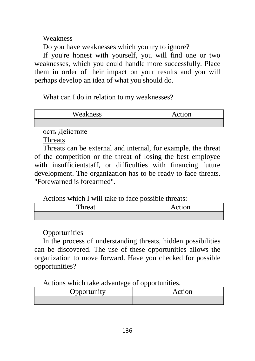Weakness

Do you have weaknesses which you try to ignore?

If you're honest with yourself, you will find one or two weaknesses, which you could handle more successfully. Place them in order of their impact on your results and you will perhaps develop an idea of what you should do.

What can I do in relation to my weaknesses?

| Weakness | Action |  |  |
|----------|--------|--|--|
|          |        |  |  |

ость Действие

Threats

Threats can be external and internal, for example, the threat of the competition or the threat of losing the best employee with insufficientstaff, or difficulties with financing future development. The organization has to be ready to face threats. "Forewarned is forearmed".

Actions which I will take to face possible threats:

| Threat | Action |
|--------|--------|
|        |        |

# **Opportunities**

In the process of understanding threats, hidden possibilities can be discovered. The use of these opportunities allows the organization to move forward. Have you checked for possible opportunities?

Actions which take advantage of opportunities.

| Opportunity | Action |
|-------------|--------|
|             |        |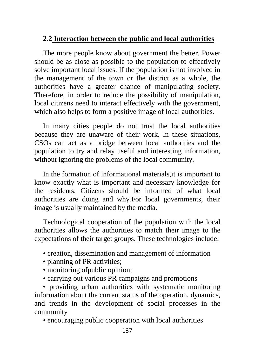## **2.2 Interaction between the public and local authorities**

The more people know about government the better. Power should be as close as possible to the population to effectively solve important local issues. If the population is not involved in the management of the town or the district as a whole, the authorities have a greater chance of manipulating society. Therefore, in order to reduce the possibility of manipulation, local citizens need to interact effectively with the government, which also helps to form a positive image of local authorities.

In many cities people do not trust the local authorities because they are unaware of their work. In these situations, CSOs can act as a bridge between local authorities and the population to try and relay useful and interesting information, without ignoring the problems of the local community.

In the formation of informational materials,it is important to know exactly what is important and necessary knowledge for the residents. Citizens should be informed of what local authorities are doing and why.For local governments, their image is usually maintained by the media.

Technological cooperation of the population with the local authorities allows the authorities to match their image to the expectations of their target groups. These technologies include:

- creation, dissemination and management of information
- planning of PR activities;
- monitoring of public opinion;
- carrying out various PR campaigns and promotions

• providing urban authorities with systematic monitoring information about the current status of the operation, dynamics, and trends in the development of social processes in the community

• encouraging public cooperation with local authorities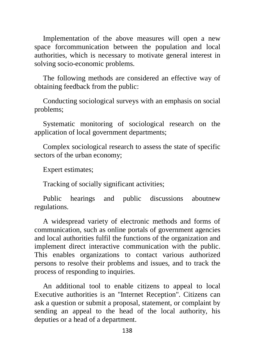Implementation of the above measures will open a new space forcommunication between the population and local authorities, which is necessary to motivate general interest in solving socio-economic problems.

The following methods are considered an effective way of obtaining feedback from the public:

Conducting sociological surveys with an emphasis on social problems;

Systematic monitoring of sociological research on the application of local government departments;

Complex sociological research to assess the state of specific sectors of the urban economy;

Expert estimates;

Tracking of socially significant activities;

Public hearings and public discussions aboutnew regulations.

A widespread variety of electronic methods and forms of communication, such as online portals of government agencies and local authorities fulfil the functions of the organization and implement direct interactive communication with the public. This enables organizations to contact various authorized persons to resolve their problems and issues, and to track the process of responding to inquiries.

An additional tool to enable citizens to appeal to local Executive authorities is an "Internet Reception". Citizens can ask a question or submit a proposal, statement, or complaint by sending an appeal to the head of the local authority, his deputies or a head of a department.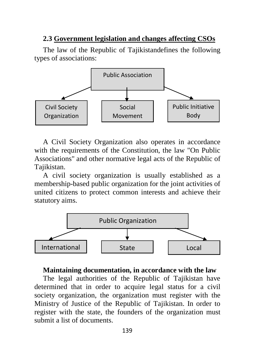#### **2.3 Government legislation and changes affecting CSOs**

The law of the Republic of Tajikistandefines the following types of associations:



A Civil Society Organization also operates in accordance with the requirements of the Constitution, the law "On Public Associations" and other normative legal acts of the Republic of Tajikistan.

A civil society organization is usually established as a membership-based public organization for the joint activities of united citizens to protect common interests and achieve their statutory aims.



#### **Maintaining documentation, in accordance with the law**

The legal authorities of the Republic of Tajikistan have determined that in order to acquire legal status for a civil society organization, the organization must register with the Ministry of Justice of the Republic of Tajikistan. In order to register with the state, the founders of the organization must submit a list of documents.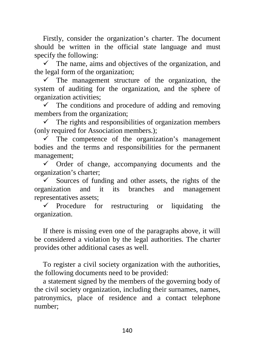Firstly, consider the organization's charter. The document should be written in the official state language and must specify the following:

 $\checkmark$  The name, aims and objectives of the organization, and the legal form of the organization;

 $\checkmark$  The management structure of the organization, the system of auditing for the organization, and the sphere of organization activities;

 $\checkmark$  The conditions and procedure of adding and removing members from the organization;

 $\checkmark$  The rights and responsibilities of organization members (only required for Association members.);

 $\checkmark$  The competence of the organization's management bodies and the terms and responsibilities for the permanent management;

 $\checkmark$  Order of change, accompanying documents and the organization's charter;

 Sources of funding and other assets, the rights of the organization and it its branches and management representatives assets;

 $\checkmark$  Procedure for restructuring or liquidating the organization.

If there is missing even one of the paragraphs above, it will be considered a violation by the legal authorities. The charter provides other additional cases as well.

To register a civil society organization with the authorities, the following documents need to be provided:

a statement signed by the members of the governing body of the civil society organization, including their surnames, names, patronymics, place of residence and a contact telephone number;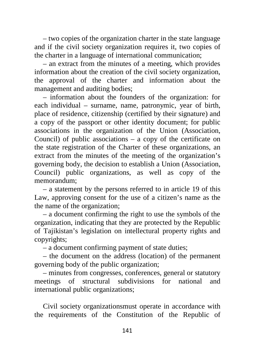– two copies of the organization charter in the state language and if the civil society organization requires it, two copies of the charter in a language of international communication;

– an extract from the minutes of a meeting, which provides information about the creation of the civil society organization, the approval of the charter and information about the management and auditing bodies;

– information about the founders of the organization: for each individual – surname, name, patronymic, year of birth, place of residence, citizenship (certified by their signature) and a copy of the passport or other identity document; for public associations in the organization of the Union (Association, Council) of public associations – a copy of the certificate on the state registration of the Charter of these organizations, an extract from the minutes of the meeting of the organization's governing body, the decision to establish a Union (Association, Council) public organizations, as well as copy of the memorandum;

– a statement by the persons referred to in article 19 of this Law, approving consent for the use of a citizen's name as the the name of the organization;

– a document confirming the right to use the symbols of the organization, indicating that they are protected by the Republic of Tajikistan's legislation on intellectural property rights and copyrights;

– a document confirming payment of state duties;

– the document on the address (location) of the permanent governing body of the public organization;

– minutes from congresses, conferences, general or statutory meetings of structural subdivisions for national and international public organizations;

Civil society organizationsmust operate in accordance with the requirements of the Constitution of the Republic of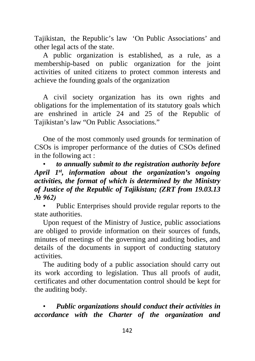Tajikistan, the Republic's law 'On Public Associations' and other legal acts of the state.

A public organization is established, as a rule, as a membership-based on public organization for the joint activities of united citizens to protect common interests and achieve the founding goals of the organization

A civil society organization has its own rights and obligations for the implementation of its statutory goals which are enshrined in article 24 and 25 of the Republic of Tajikistan's law "On Public Associations."

One of the most commonly used grounds for termination of CSOs is improper performance of the duties of CSOs defined in the following act :

• *to annually submit to the registration authority before April 1st, information about the organization's ongoing activities, the format of which is determined by the Ministry of Justice of the Republic of Tajikistan; (ZRT from 19.03.13 № 962)*

Public Enterprises should provide regular reports to the state authorities.

Upon request of the Ministry of Justice, public associations are obliged to provide information on their sources of funds, minutes of meetings of the governing and auditing bodies, and details of the documents in support of conducting statutory activities.

The auditing body of a public association should carry out its work according to legislation. Thus all proofs of audit, certificates and other documentation control should be kept for the auditing body.

• *Public organizations should conduct their activities in accordance with the Charter of the organization and*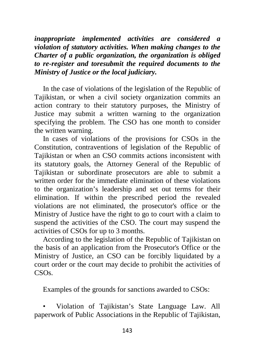*inappropriate implemented activities are considered a violation of statutory activities. When making changes to the Charter of a public organization, the organization is obliged to re-register and toresubmit the required documents to the Ministry of Justice or the local judiciary.*

In the case of violations of the legislation of the Republic of Tajikistan, or when a civil society organization commits an action contrary to their statutory purposes, the Ministry of Justice may submit a written warning to the organization specifying the problem. The CSO has one month to consider the written warning.

In cases of violations of the provisions for CSOs in the Constitution, contraventions of legislation of the Republic of Tajikistan or when an CSO commits actions inconsistent with its statutory goals, the Attorney General of the Republic of Tajikistan or subordinate prosecutors are able to submit a written order for the immediate elimination of these violations to the organization's leadership and set out terms for their elimination. If within the prescribed period the revealed violations are not eliminated, the prosecutor's office or the Ministry of Justice have the right to go to court with a claim to suspend the activities of the CSO. The court may suspend the activities of CSOs for up to 3 months.

According to the legislation of the Republic of Tajikistan on the basis of an application from the Prosecutor's Office or the Ministry of Justice, an CSO can be forcibly liquidated by a court order or the court may decide to prohibit the activities of CSOs.

Examples of the grounds for sanctions awarded to CSOs:

• Violation of Tajikistan's State Language Law. All paperwork of Public Associations in the Republic of Tajikistan,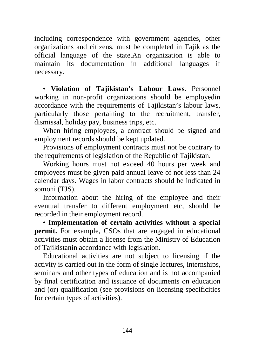including correspondence with government agencies, other organizations and citizens, must be completed in Tajik as the official language of the state.An organization is able to maintain its documentation in additional languages if necessary.

• **Violation of Tajikistan's Labour Laws**. Personnel working in non-profit organizations should be employedin accordance with the requirements of Tajikistan's labour laws, particularly those pertaining to the recruitment, transfer, dismissal, holiday pay, business trips, etc.

When hiring employees, a contract should be signed and employment records should be kept updated.

Provisions of employment contracts must not be contrary to the requirements of legislation of the Republic of Tajikistan.

Working hours must not exceed 40 hours per week and employees must be given paid annual leave of not less than 24 calendar days. Wages in labor contracts should be indicated in somoni (TJS).

Information about the hiring of the employee and their eventual transfer to different employment etc, should be recorded in their employment record.

• **Implementation of certain activities without a special permit.** For example, CSOs that are engaged in educational activities must obtain a license from the Ministry of Education of Tajikistanin accordance with legislation.

Educational activities are not subject to licensing if the activity is carried out in the form of single lectures, internships, seminars and other types of education and is not accompanied by final certification and issuance of documents on education and (or) qualification (see provisions on licensing specificities for certain types of activities).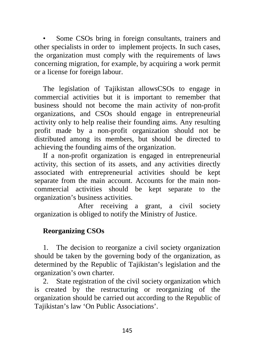Some CSOs bring in foreign consultants, trainers and other specialists in order to implement projects. In such cases, the organization must comply with the requirements of laws concerning migration, for example, by acquiring a work permit or a license for foreign labour.

The legislation of Tajikistan allowsCSOs to engage in commercial activities but it is important to remember that business should not become the main activity of non-profit organizations, and CSOs should engage in entrepreneurial activity only to help realise their founding aims. Any resulting profit made by a non-profit organization should not be distributed among its members, but should be directed to achieving the founding aims of the organization.

If a non-profit organization is engaged in entrepreneurial activity, this section of its assets, and any activities directly associated with entrepreneurial activities should be kept separate from the main account. Accounts for the main noncommercial activities should be kept separate to the organization's business activities.

After receiving a grant, a civil society organization is obliged to notify the Ministry of Justice.

# **Reorganizing CSOs**

1. The decision to reorganize a civil society organization should be taken by the governing body of the organization, as determined by the Republic of Tajikistan's legislation and the organization's own charter.

2. State registration of the civil society organization which is created by the restructuring or reorganizing of the organization should be carried out according to the Republic of Tajikistan's law 'On Public Associations'.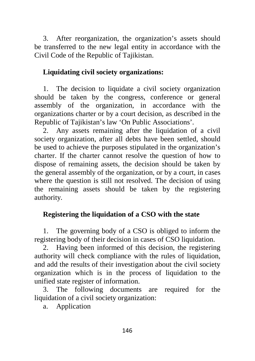3. After reorganization, the organization's assets should be transferred to the new legal entity in accordance with the Civil Code of the Republic of Tajikistan.

## **Liquidating civil society organizations:**

1. The decision to liquidate a civil society organization should be taken by the congress, conference or general assembly of the organization, in accordance with the organizations charter or by a court decision, as described in the Republic of Tajikistan's law 'On Public Associations'.

2. Any assets remaining after the liquidation of a civil society organization, after all debts have been settled, should be used to achieve the purposes stipulated in the organization's charter. If the charter cannot resolve the question of how to dispose of remaining assets, the decision should be taken by the general assembly of the organization, or by a court, in cases where the question is still not resolved. The decision of using the remaining assets should be taken by the registering authority.

## **Registering the liquidation of a CSO with the state**

1. The governing body of a CSO is obliged to inform the registering body of their decision in cases of CSO liquidation.

2. Having been informed of this decision, the registering authority will check compliance with the rules of liquidation, and add the results of their investigation about the civil society organization which is in the process of liquidation to the unified state register of information.

3. The following documents are required for the liquidation of a civil society organization:

a. Application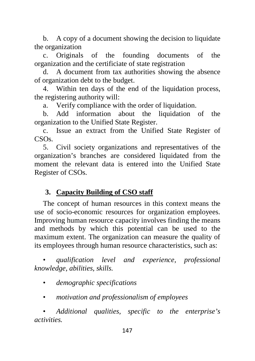b. A copy of a document showing the decision to liquidate the organization

c. Originals of the founding documents of the organization and the certificiate of state registration

d. A document from tax authorities showing the absence of organization debt to the budget.

4. Within ten days of the end of the liquidation process, the registering authority will:

a. Verify compliance with the order of liquidation.

b. Add information about the liquidation of the organization to the Unified State Register.

c. Issue an extract from the Unified State Register of CSOs.

5. Civil society organizations and representatives of the organization's branches are considered liquidated from the moment the relevant data is entered into the Unified State Register of CSOs.

## **3. Capacity Building of CSO staff**

The concept of human resources in this context means the use of socio-economic resources for organization employees. Improving human resource capacity involves finding the means and methods by which this potential can be used to the maximum extent. The organization can measure the quality of its employees through human resource characteristics, such as:

• *qualification level and experience, professional knowledge, abilities, skills.*

• *demographic specifications*

• *motivation and professionalism of employees*

• *Additional qualities, specific to the enterprise's activities.*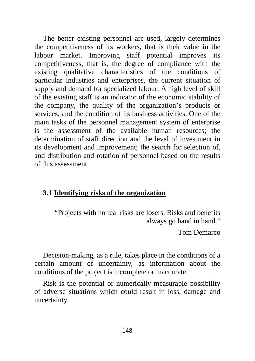The better existing personnel are used, largely determines the competitiveness of its workers, that is their value in the labour market. Improving staff potential improves its competitiveness, that is, the degree of compliance with the existing qualitative characteristics of the conditions of particular industries and enterprises, the current situation of supply and demand for specialized labour. A high level of skill of the existing staff is an indicator of the economic stability of the company, the quality of the organization's products or services, and the condition of its business activities. One of the main tasks of the personnel management system of enterprise is the assessment of the available human resources; the determination of staff direction and the level of investment in its development and improvement; the search for selection of, and distribution and rotation of personnel based on the results of this assessment.

#### **3.1 Identifying risks of the organization**

"Projects with no real risks are losers. Risks and benefits always go hand in hand."

Tom Demarco

Decision-making, as a rule, takes place in the conditions of a certain amount of uncertainty, as information about the conditions of the project is incomplete or inaccurate.

Risk is the potential or numerically measurable possibility of adverse situations which could result in loss, damage and uncertainty.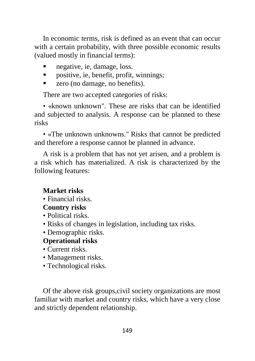In economic terms, risk is defined as an event that can occur with a certain probability, with three possible economic results (valued mostly in financial terms):

- negative, ie, damage, loss.
- positive, ie, benefit, profit, winnings;
- zero (no damage, no benefits).

There are two accepted categories of risks:

• «known unknown". These are risks that can be identified and subjected to analysis. A response can be planned to these risks

• «The unknown unknowns." Risks that cannot be predicted and therefore a response cannot be planned in advance.

A risk is a problem that has not yet arisen, and a problem is a risk which has materialized. A risk is characterized by the following features:

# **Market risks**

• Financial risks.

# **Country risks**

- Political risks.
- Risks of changes in legislation, including tax risks.
- Demographic risks.

# **Operational risks**

- Current risks.
- Management risks.
- Technological risks.

Of the above risk groups,civil society organizations are most familiar with market and country risks, which have a very close and strictly dependent relationship.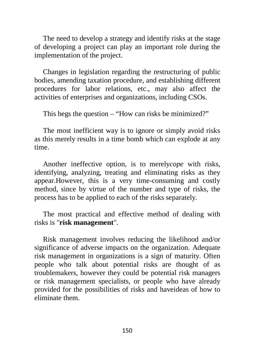The need to develop a strategy and identify risks at the stage of developing a project can play an important role during the implementation of the project.

Changes in legislation regarding the restructuring of public bodies, amending taxation procedure, and establishing different procedures for labor relations, etc., may also affect the activities of enterprises and organizations, including CSOs.

This begs the question – "How can risks be minimized?"

The most inefficient way is to ignore or simply avoid risks as this merely results in a time bomb which can explode at any time.

Another ineffective option, is to merely*cope* with risks, identifying, analyzing, treating and eliminating risks as they appear.However, this is a very time-consuming and costly method, since by virtue of the number and type of risks, the process has to be applied to each of the risks separately.

The most practical and effective method of dealing with risks is "**risk management**".

Risk management involves reducing the likelihood and/or significance of adverse impacts on the organization. Adequate risk management in organizations is a sign of maturity. Often people who talk about potential risks are thought of as troublemakers, however they could be potential risk managers or risk management specialists, or people who have already provided for the possibilities of risks and haveideas of how to eliminate them.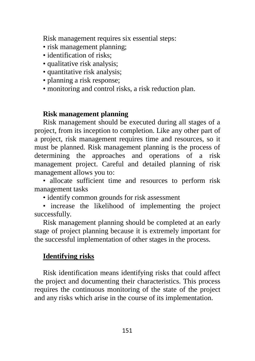Risk management requires six essential steps:

- risk management planning:
- identification of risks;
- qualitative risk analysis;
- quantitative risk analysis;
- planning a risk response;
- monitoring and control risks, a risk reduction plan.

## **Risk management planning**

Risk management should be executed during all stages of a project, from its inception to completion. Like any other part of a project, risk management requires time and resources, so it must be planned. Risk management planning is the process of determining the approaches and operations of a risk management project. Careful and detailed planning of risk management allows you to:

• allocate sufficient time and resources to perform risk management tasks

- identify common grounds for risk assessment
- increase the likelihood of implementing the project successfully.

Risk management planning should be completed at an early stage of project planning because it is extremely important for the successful implementation of other stages in the process.

# **Identifying risks**

Risk identification means identifying risks that could affect the project and documenting their characteristics. This process requires the continuous monitoring of the state of the project and any risks which arise in the course of its implementation.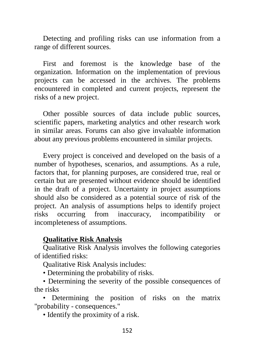Detecting and profiling risks can use information from a range of different sources.

First and foremost is the knowledge base of the organization. Information on the implementation of previous projects can be accessed in the archives. The problems encountered in completed and current projects, represent the risks of a new project.

Other possible sources of data include public sources, scientific papers, marketing analytics and other research work in similar areas. Forums can also give invaluable information about any previous problems encountered in similar projects.

Every project is conceived and developed on the basis of a number of hypotheses, scenarios, and assumptions. As a rule, factors that, for planning purposes, are considered true, real or certain but are presented without evidence should be identified in the draft of a project. Uncertainty in project assumptions should also be considered as a potential source of risk of the project. An analysis of assumptions helps to identify project risks occurring from inaccuracy, incompatibility or incompleteness of assumptions.

#### **Qualitative Risk Analysis**

Qualitative Risk Analysis involves the following categories of identified risks:

Qualitative Risk Analysis includes:

• Determining the probability of risks.

• Determining the severity of the possible consequences of the risks

• Determining the position of risks on the matrix "probability - consequences."

• Identify the proximity of a risk.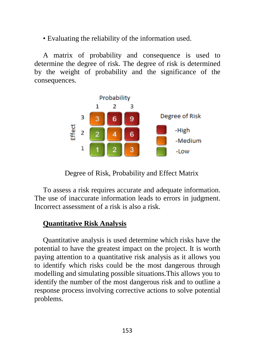• Evaluating the reliability of the information used.

A matrix of probability and consequence is used to determine the degree of risk. The degree of risk is determined by the weight of probability and the significance of the consequences.



Degree of Risk, Probability and Effect Matrix

To assess a risk requires accurate and adequate information. The use of inaccurate information leads to errors in judgment. Incorrect assessment of a risk is also a risk.

## **Quantitative Risk Analysis**

Quantitative analysis is used determine which risks have the potential to have the greatest impact on the project. It is worth paying attention to a quantitative risk analysis as it allows you to identify which risks could be the most dangerous through modelling and simulating possible situations.This allows you to identify the number of the most dangerous risk and to outline a response process involving corrective actions to solve potential problems.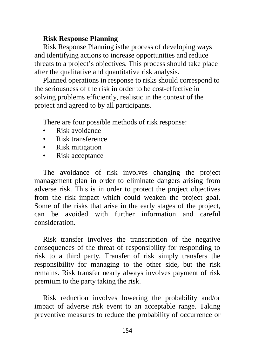#### **Risk Response Planning**

Risk Response Planning isthe process of developing ways and identifying actions to increase opportunities and reduce threats to a project's objectives. This process should take place after the qualitative and quantitative risk analysis.

Planned operations in response to risks should correspond to the seriousness of the risk in order to be cost-effective in solving problems efficiently, realistic in the context of the project and agreed to by all participants.

There are four possible methods of risk response:

- Risk avoidance
- Risk transference
- Risk mitigation
- Risk acceptance

The avoidance of risk involves changing the project management plan in order to eliminate dangers arising from adverse risk. This is in order to protect the project objectives from the risk impact which could weaken the project goal. Some of the risks that arise in the early stages of the project, can be avoided with further information and careful consideration.

Risk transfer involves the transcription of the negative consequences of the threat of responsibility for responding to risk to a third party. Transfer of risk simply transfers the responsibility for managing to the other side, but the risk remains. Risk transfer nearly always involves payment of risk premium to the party taking the risk.

Risk reduction involves lowering the probability and/or impact of adverse risk event to an acceptable range. Taking preventive measures to reduce the probability of occurrence or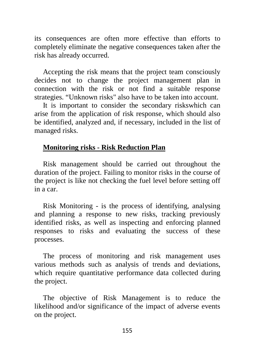its consequences are often more effective than efforts to completely eliminate the negative consequences taken after the risk has already occurred.

Accepting the risk means that the project team consciously decides not to change the project management plan in connection with the risk or not find a suitable response strategies. "Unknown risks" also have to be taken into account.

It is important to consider the secondary riskswhich can arise from the application of risk response, which should also be identified, analyzed and, if necessary, included in the list of managed risks.

#### **Monitoring risks - Risk Reduction Plan**

Risk management should be carried out throughout the duration of the project. Failing to monitor risks in the course of the project is like not checking the fuel level before setting off in a car.

Risk Monitoring - is the process of identifying, analysing and planning a response to new risks, tracking previously identified risks, as well as inspecting and enforcing planned responses to risks and evaluating the success of these processes.

The process of monitoring and risk management uses various methods such as analysis of trends and deviations, which require quantitative performance data collected during the project.

The objective of Risk Management is to reduce the likelihood and/or significance of the impact of adverse events on the project.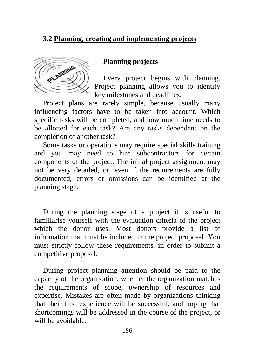## **3.2 Planning, creating and implementing projects**



**Planning projects**

Every project begins with planning. Project planning allows you to identify key milestones and deadlines.

Project plans are rarely simple, because usually many influencing factors have to be taken into account. Which specific tasks will be completed, and how much time needs to be allotted for each task? Are any tasks dependent on the completion of another task?

Some tasks or operations may require special skills training and you may need to hire subcontractors for certain components of the project. The initial project assignment may not be very detailed, or, even if the requirements are fully documented, errors or omissions can be identified at the planning stage.

During the planning stage of a project it is useful to familiarise yourself with the evaluation criteria of the project which the donor uses. Most donors provide a list of information that must be included in the project proposal. You must strictly follow these requirements, in order to submit a competitive proposal.

During project planning attention should be paid to the capacity of the organization, whether the organization matches the requirements of scope, ownership of resources and expertise. Mistakes are often made by organizations thinking that their first experience will be successful, and hoping that shortcomings will be addressed in the course of the project, or will be avoidable.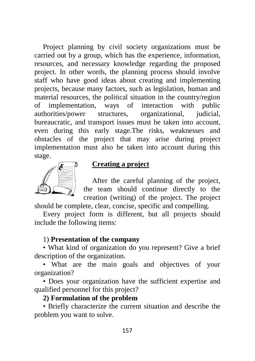Project planning by civil society organizations must be carried out by a group, which has the experience, information, resources, and necessary knowledge regarding the proposed project. In other words, the planning process should involve staff who have good ideas about creating and implementing projects, because many factors, such as legislation, human and material resources, the political situation in the country/region of implementation, ways of interaction with public authorities/power structures, organizational, judicial, bureaucratic, and transport issues must be taken into account, even during this early stage.The risks, weaknesses and obstacles of the project that may arise during project implementation must also be taken into account during this stage.



### **Creating a project**

After the careful planning of the project, the team should continue directly to the creation (writing) of the project. The project

should be complete, clear, concise, specific and compelling.

Every project form is different, but all projects should include the following items:

#### 1) **Presentation of the company**

• What kind of organization do you represent? Give a brief description of the organization.

• What are the main goals and objectives of your organization?

• Does your organization have the sufficient expertise and qualified personnel for this project?

#### **2) Formulation of the problem**

• Briefly characterize the current situation and describe the problem you want to solve.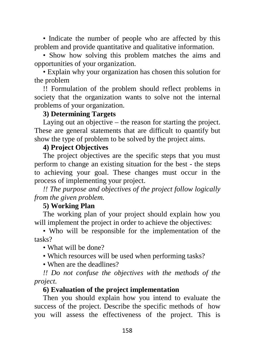• Indicate the number of people who are affected by this problem and provide quantitative and qualitative information.

• Show how solving this problem matches the aims and opportunities of your organization.

• Explain why your organization has chosen this solution for the problem

!! Formulation of the problem should reflect problems in society that the organization wants to solve not the internal problems of your organization.

#### **3) Determining Targets**

Laying out an objective – the reason for starting the project. These are general statements that are difficult to quantify but show the type of problem to be solved by the project aims.

#### **4) Project Objectives**

The project objectives are the specific steps that you must perform to change an existing situation for the best - the steps to achieving your goal. These changes must occur in the process of implementing your project.

*!! The purpose and objectives of the project follow logically from the given problem.*

#### **5) Working Plan**

The working plan of your project should explain how you will implement the project in order to achieve the objectives:

• Who will be responsible for the implementation of the tasks?

• What will be done?

• Which resources will be used when performing tasks?

• When are the deadlines?

*!! Do not confuse the objectives with the methods of the project.*

#### **6) Evaluation of the project implementation**

Then you should explain how you intend to evaluate the success of the project. Describe the specific methods of how you will assess the effectiveness of the project. This is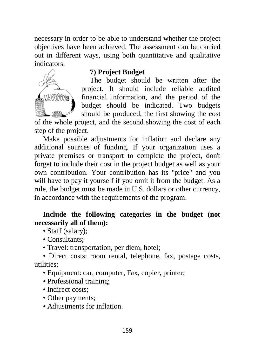necessary in order to be able to understand whether the project objectives have been achieved. The assessment can be carried out in different ways, using both quantitative and qualitative indicators.



#### **7) Project Budget**

The budget should be written after the project. It should include reliable audited financial information, and the period of the budget should be indicated. Two budgets should be produced, the first showing the cost

of the whole project, and the second showing the cost of each step of the project.

Make possible adjustments for inflation and declare any additional sources of funding. If your organization uses a private premises or transport to complete the project, don't forget to include their cost in the project budget as well as your own contribution. Your contribution has its "price" and you will have to pay it yourself if you omit it from the budget. As a rule, the budget must be made in U.S. dollars or other currency, in accordance with the requirements of the program.

#### **Include the following categories in the budget (not necessarily all of them):**

- Staff (salary);
- Consultants:
- Travel: transportation, per diem, hotel;

• Direct costs: room rental, telephone, fax, postage costs, utilities;

- Equipment: car, computer, Fax, copier, printer;
- Professional training;
- Indirect costs:
- Other payments:
- Adjustments for inflation.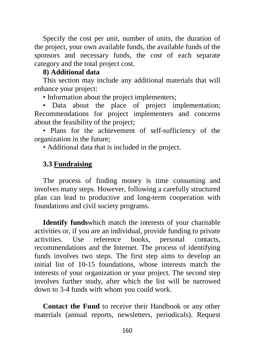Specify the cost per unit, number of units, the duration of the project, your own available funds, the available funds of the sponsors and necessary funds, the cost of each separate category and the total project cost.

#### **8) Additional data**

This section may include any additional materials that will enhance your project:

• Information about the project implementers;

• Data about the place of project implementation; Recommendations for project implementers and concerns about the feasibility of the project;

• Plans for the achievement of self-sufficiency of the organization in the future;

• Additional data that is included in the project.

## **3.3 Fundraising**

The process of finding money is time consuming and involves many steps. However, following a carefully structured plan can lead to productive and long-term cooperation with foundations and civil society programs.

**Identify funds**which match the interests of your charitable activities or, if you are an individual, provide funding to private activities. Use reference books, personal contacts, recommendations and the Internet. The process of identifying funds involves two steps. The first step aims to develop an initial list of 10-15 foundations, whose interests match the interests of your organization or your project. The second step involves further study, after which the list will be narrowed down to 3-4 funds with whom you could work.

**Contact the Fund** to receive their Handbook or any other materials (annual reports, newsletters, periodicals). Request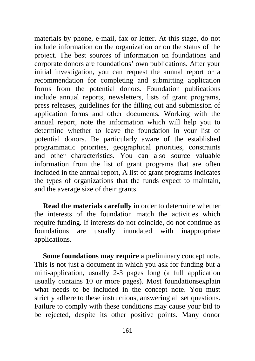materials by phone, e-mail, fax or letter. At this stage, do not include information on the organization or on the status of the project. The best sources of information on foundations and corporate donors are foundations' own publications. After your initial investigation, you can request the annual report or a recommendation for completing and submitting application forms from the potential donors. Foundation publications include annual reports, newsletters, lists of grant programs, press releases, guidelines for the filling out and submission of application forms and other documents. Working with the annual report, note the information which will help you to determine whether to leave the foundation in your list of potential donors. Be particularly aware of the established programmatic priorities, geographical priorities, constraints and other characteristics. You can also source valuable information from the list of grant programs that are often included in the annual report, A list of grant programs indicates the types of organizations that the funds expect to maintain, and the average size of their grants.

**Read the materials carefully** in order to determine whether the interests of the foundation match the activities which require funding. If interests do not coincide, do not continue as foundations are usually inundated with inappropriate applications.

**Some foundations may require** a preliminary concept note. This is not just a document in which you ask for funding but a mini-application, usually 2-3 pages long (a full application usually contains 10 or more pages). Most foundationsexplain what needs to be included in the concept note. You must strictly adhere to these instructions, answering all set questions. Failure to comply with these conditions may cause your bid to be rejected, despite its other positive points. Many donor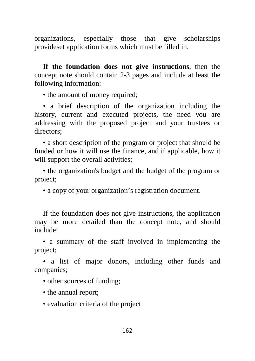organizations, especially those that give scholarships provideset application forms which must be filled in.

**If the foundation does not give instructions**, then the concept note should contain 2-3 pages and include at least the following information:

• the amount of money required;

• a brief description of the organization including the history, current and executed projects, the need you are addressing with the proposed project and your trustees or directors;

• a short description of the program or project that should be funded or how it will use the finance, and if applicable, how it will support the overall activities;

• the organization's budget and the budget of the program or project;

• a copy of your organization's registration document.

If the foundation does not give instructions, the application may be more detailed than the concept note, and should include:

• a summary of the staff involved in implementing the project;

• a list of major donors, including other funds and companies;

• other sources of funding;

• the annual report;

• evaluation criteria of the project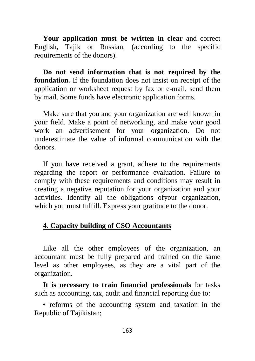**Your application must be written in clear** and correct English, Tajik or Russian, (according to the specific requirements of the donors).

**Do not send information that is not required by the foundation.** If the foundation does not insist on receipt of the application or worksheet request by fax or e-mail, send them by mail. Some funds have electronic application forms.

Make sure that you and your organization are well known in your field. Make a point of networking, and make your good work an advertisement for your organization. Do not underestimate the value of informal communication with the donors.

If you have received a grant, adhere to the requirements regarding the report or performance evaluation. Failure to comply with these requirements and conditions may result in creating a negative reputation for your organization and your activities. Identify all the obligations ofyour organization, which you must fulfill. Express your gratitude to the donor.

#### **4. Capacity building of CSO Accountants**

Like all the other employees of the organization, an accountant must be fully prepared and trained on the same level as other employees, as they are a vital part of the organization.

**It is necessary to train financial professionals** for tasks such as accounting, tax, audit and financial reporting due to:

• reforms of the accounting system and taxation in the Republic of Tajikistan;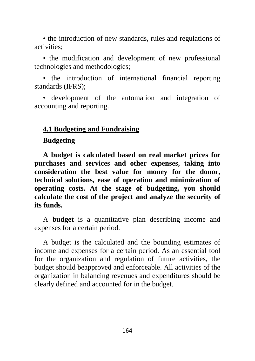• the introduction of new standards, rules and regulations of activities;

• the modification and development of new professional technologies and methodologies;

• the introduction of international financial reporting standards (IFRS);

• development of the automation and integration of accounting and reporting.

#### **4.1 Budgeting and Fundraising**

#### **Budgeting**

**A budget is calculated based on real market prices for purchases and services and other expenses, taking into consideration the best value for money for the donor, technical solutions, ease of operation and minimization of operating costs. At the stage of budgeting, you should calculate the cost of the project and analyze the security of its funds.**

A **budget** is a quantitative plan describing income and expenses for a certain period.

A budget is the calculated and the bounding estimates of income and expenses for a certain period. As an essential tool for the organization and regulation of future activities, the budget should beapproved and enforceable. All activities of the organization in balancing revenues and expenditures should be clearly defined and accounted for in the budget.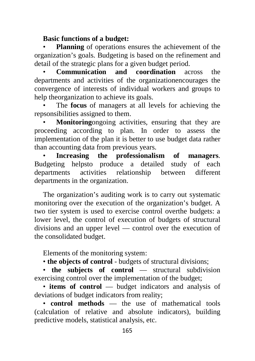## **Basic functions of a budget:**

**Planning** of operations ensures the achievement of the organization's goals. Budgeting is based on the refinement and detail of the strategic plans for a given budget period.

• **Communication and coordination** across the departments and activities of the organizationencourages the convergence of interests of individual workers and groups to help theorganization to achieve its goals.

• The **focus** of managers at all levels for achieving the repsonsibilities assigned to them.

**Monitoring**ongoing activities, ensuring that they are proceeding according to plan. In order to assess the implementation of the plan it is better to use budget data rather than accounting data from previous years.

• **Increasing the professionalism of managers**. Budgeting helpsto produce a detailed study of each departments activities relationship between different departments in the organization.

The organization's auditing work is to carry out systematic monitoring over the execution of the organization's budget. A two tier system is used to exercise control overthe budgets: a lower level, the control of execution of budgets of structural divisions and an upper level — control over the execution of the consolidated budget.

Elements of the monitoring system:

• **the objects of control** - budgets of structural divisions;

• **the subjects of control** — structural subdivision exercising control over the implementation of the budget;

• **items of control** — budget indicators and analysis of deviations of budget indicators from reality;

• **control methods** — the use of mathematical tools (calculation of relative and absolute indicators), building predictive models, statistical analysis, etc.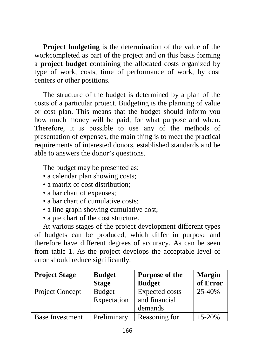**Project budgeting** is the determination of the value of the workcompleted as part of the project and on this basis forming a **project budget** containing the allocated costs organized by type of work, costs, time of performance of work, by cost centers or other positions.

The structure of the budget is determined by a plan of the costs of a particular project. Budgeting is the planning of value or cost plan. This means that the budget should inform you how much money will be paid, for what purpose and when. Therefore, it is possible to use any of the methods of presentation of expenses, the main thing is to meet the practical requirements of interested donors, established standards and be able to answers the donor's questions.

The budget may be presented as:

- a calendar plan showing costs;
- a matrix of cost distribution:
- a bar chart of expenses:
- a bar chart of cumulative costs:
- a line graph showing cumulative cost;
- a pie chart of the cost structure.

At various stages of the project development different types of budgets can be produced, which differ in purpose and therefore have different degrees of accuracy. As can be seen from table 1. As the project develops the acceptable level of error should reduce significantly.

| <b>Project Stage</b>   | <b>Budget</b><br><b>Stage</b> | <b>Purpose of the</b><br><b>Budget</b> | <b>Margin</b><br>of Error |
|------------------------|-------------------------------|----------------------------------------|---------------------------|
| <b>Project Concept</b> | <b>Budget</b>                 | <b>Expected costs</b>                  | 25-40%                    |
|                        |                               |                                        |                           |
|                        | Expectation                   | and financial                          |                           |
|                        |                               | demands                                |                           |
| <b>Base Investment</b> | Preliminary                   | Reasoning for                          | 15-20%                    |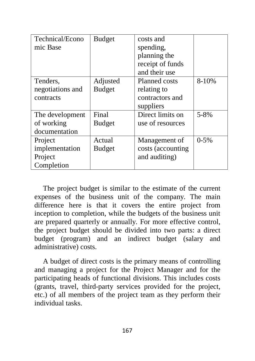| Technical/Econo  | <b>Budget</b> | costs and            |        |
|------------------|---------------|----------------------|--------|
| mic Base         |               | spending,            |        |
|                  |               | planning the         |        |
|                  |               | receipt of funds     |        |
|                  |               | and their use        |        |
| Tenders,         | Adjusted      | <b>Planned costs</b> | 8-10%  |
| negotiations and | <b>Budget</b> | relating to          |        |
| contracts        |               | contractors and      |        |
|                  |               | suppliers            |        |
| The development  | Final         | Direct limits on     | 5-8%   |
| of working       | <b>Budget</b> | use of resources     |        |
| documentation    |               |                      |        |
| Project          | Actual        | Management of        | $0-5%$ |
| implementation   | <b>Budget</b> | costs (accounting    |        |
| Project          |               | and auditing)        |        |
| Completion       |               |                      |        |

The project budget is similar to the estimate of the current expenses of the business unit of the company. The main difference here is that it covers the entire project from inception to completion, while the budgets of the business unit are prepared quarterly or annually. For more effective control, the project budget should be divided into two parts: a direct budget (program) and an indirect budget (salary and administrative) costs.

A budget of direct costs is the primary means of controlling and managing a project for the Project Manager and for the participating heads of functional divisions. This includes costs (grants, travel, third-party services provided for the project, etc.) of all members of the project team as they perform their individual tasks.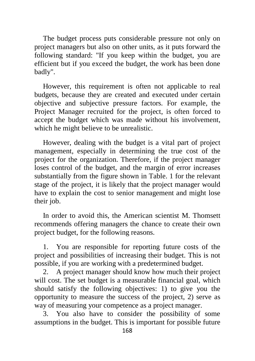The budget process puts considerable pressure not only on project managers but also on other units, as it puts forward the following standard: "If you keep within the budget, you are efficient but if you exceed the budget, the work has been done badly".

However, this requirement is often not applicable to real budgets, because they are created and executed under certain objective and subjective pressure factors. For example, the Project Manager recruited for the project, is often forced to accept the budget which was made without his involvement, which he might believe to be unrealistic.

However, dealing with the budget is a vital part of project management, especially in determining the true cost of the project for the organization. Therefore, if the project manager loses control of the budget, and the margin of error increases substantially from the figure shown in Table. 1 for the relevant stage of the project, it is likely that the project manager would have to explain the cost to senior management and might lose their job.

In order to avoid this, the American scientist M. Thomsett recommends offering managers the chance to create their own project budget, for the following reasons.

1. You are responsible for reporting future costs of the project and possibilities of increasing their budget. This is not possible, if you are working with a predetermined budget.

2. A project manager should know how much their project will cost. The set budget is a measurable financial goal, which should satisfy the following objectives: 1) to give you the opportunity to measure the success of the project, 2) serve as way of measuring your competence as a project manager.

3. You also have to consider the possibility of some assumptions in the budget. This is important for possible future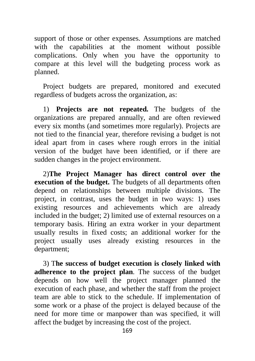support of those or other expenses. Assumptions are matched with the capabilities at the moment without possible complications. Only when you have the opportunity to compare at this level will the budgeting process work as planned.

Project budgets are prepared, monitored and executed regardless of budgets across the organization, as:

1) **Projects are not repeated.** The budgets of the organizations are prepared annually, and are often reviewed every six months (and sometimes more regularly). Projects are not tied to the financial year, therefore revising a budget is not ideal apart from in cases where rough errors in the initial version of the budget have been identified, or if there are sudden changes in the project environment.

2)**The Project Manager has direct control over the execution of the budget.** The budgets of all departments often depend on relationships between multiple divisions. The project, in contrast, uses the budget in two ways: 1) uses existing resources and achievements which are already included in the budget; 2) limited use of external resources on a temporary basis. Hiring an extra worker in your department usually results in fixed costs; an additional worker for the project usually uses already existing resources in the department;

3) T**he success of budget execution is closely linked with adherence to the project plan**. The success of the budget depends on how well the project manager planned the execution of each phase, and whether the staff from the project team are able to stick to the schedule. If implementation of some work or a phase of the project is delayed because of the need for more time or manpower than was specified, it will affect the budget by increasing the cost of the project.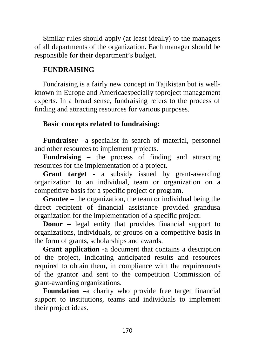Similar rules should apply (at least ideally) to the managers of all departments of the organization. Each manager should be responsible for their department's budget.

## **FUNDRAISING**

Fundraising is a fairly new concept in Tajikistan but is wellknown in Europe and Americaespecially toproject management experts. In a broad sense, fundraising refers to the process of finding and attracting resources for various purposes.

## **Basic concepts related to fundraising:**

**Fundraiser –**a specialist in search of material, personnel and other resources to implement projects.

**Fundraising –** the process of finding and attracting resources for the implementation of a project.

**Grant target -** a subsidy issued by grant-awarding organization to an individual, team or organization on a competitive basis for a specific project or program.

**Grantee –** the organization, the team or individual being the direct recipient of financial assistance provided grandusa organization for the implementation of a specific project.

**Donor** – legal entity that provides financial support to organizations, individuals, or groups on a competitive basis in the form of grants, scholarships and awards.

**Grant application -**a document that contains a description of the project, indicating anticipated results and resources required to obtain them, in compliance with the requirements of the grantor and sent to the competition Commission of grant-awarding organizations.

**Foundation –**a charity who provide free target financial support to institutions, teams and individuals to implement their project ideas.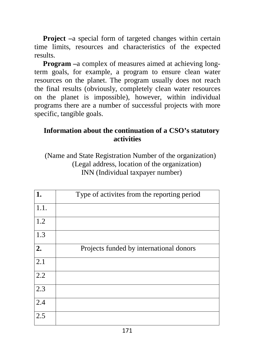**Project** –a special form of targeted changes within certain time limits, resources and characteristics of the expected results.

**Program –**a complex of measures aimed at achieving longterm goals, for example, a program to ensure clean water resources on the planet. The program usually does not reach the final results (obviously, completely clean water resources on the planet is impossible), however, within individual programs there are a number of successful projects with more specific, tangible goals.

## **Information about the continuation of a CSO's statutory activities**

(Name and State Registration Number of the organization) (Legal address, location of the organization) INN (Individual taxpayer number)

| 1.               | Type of activites from the reporting period |
|------------------|---------------------------------------------|
| 1.1.             |                                             |
| 1.2              |                                             |
| 1.3              |                                             |
| 2.               | Projects funded by international donors     |
| 2.1              |                                             |
| $\overline{2.2}$ |                                             |
| 2.3              |                                             |
| 2.4              |                                             |
| 2.5              |                                             |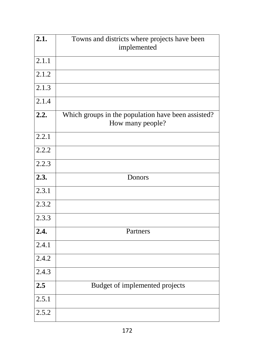| 2.1.               | Towns and districts where projects have been<br>implemented            |
|--------------------|------------------------------------------------------------------------|
| $2.\overline{1.1}$ |                                                                        |
| 2.1.2              |                                                                        |
| $\overline{2.1.3}$ |                                                                        |
| 2.1.4              |                                                                        |
| 2.2.               | Which groups in the population have been assisted?<br>How many people? |
| 2.2.1              |                                                                        |
| 2.2.2              |                                                                        |
| $\overline{2.2.3}$ |                                                                        |
| 2.3.               | Donors                                                                 |
| 2.3.1              |                                                                        |
| 2.3.2              |                                                                        |
| 2.3.3              |                                                                        |
| $\overline{2.4.}$  | Partners                                                               |
| 2.4.1              |                                                                        |
| 2.4.2              |                                                                        |
| 2.4.3              |                                                                        |
| $\overline{2.5}$   | Budget of implemented projects                                         |
| 2.5.1              |                                                                        |
| 2.5.2              |                                                                        |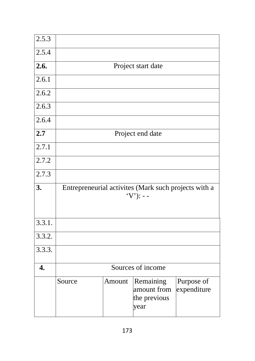| 2.5.3              |                                                                      |        |                                                  |                           |  |  |
|--------------------|----------------------------------------------------------------------|--------|--------------------------------------------------|---------------------------|--|--|
| 2.5.4              |                                                                      |        |                                                  |                           |  |  |
| 2.6.               | Project start date                                                   |        |                                                  |                           |  |  |
| 2.6.1              |                                                                      |        |                                                  |                           |  |  |
| 2.6.2              |                                                                      |        |                                                  |                           |  |  |
| 2.6.3              |                                                                      |        |                                                  |                           |  |  |
| $2.6.\overline{4}$ |                                                                      |        |                                                  |                           |  |  |
| 2.7                |                                                                      |        | Project end date                                 |                           |  |  |
| 2.7.1              |                                                                      |        |                                                  |                           |  |  |
| 2.7.2              |                                                                      |        |                                                  |                           |  |  |
| 2.7.3              |                                                                      |        |                                                  |                           |  |  |
| 3.                 | Entrepreneurial activites (Mark such projects with a<br>$(Y')$ : - - |        |                                                  |                           |  |  |
| 3.3.1.             |                                                                      |        |                                                  |                           |  |  |
| 3.3.2.             |                                                                      |        |                                                  |                           |  |  |
| 3.3.3.             |                                                                      |        |                                                  |                           |  |  |
| $\overline{4}$ .   | Sources of income                                                    |        |                                                  |                           |  |  |
|                    | Source                                                               | Amount | Remaining<br>amount from<br>the previous<br>year | Purpose of<br>expenditure |  |  |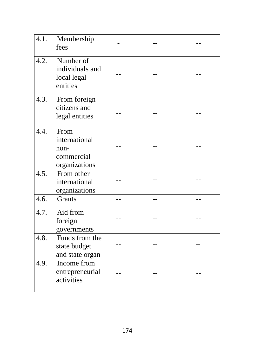| 4.1. | Membership<br>fees                                           |  |  |
|------|--------------------------------------------------------------|--|--|
| 4.2. | Number of<br>individuals and<br>local legal<br>entities      |  |  |
| 4.3. | From foreign<br>citizens and<br>legal entities               |  |  |
| 4.4. | From<br>international<br>non-<br>commercial<br>organizations |  |  |
| 4.5. | From other<br>international<br>organizations                 |  |  |
| 4.6. | <b>Grants</b>                                                |  |  |
| 4.7. | Aid from<br>foreign<br>governments                           |  |  |
| 4.8. | Funds from the<br>state budget<br>and state organ            |  |  |
| 4.9. | Income from<br>entrepreneurial<br>activities                 |  |  |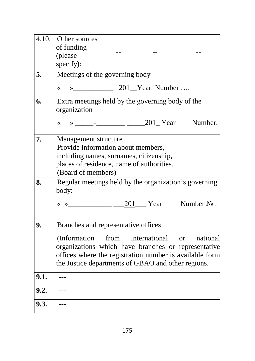| 4.10. | Other sources<br>of funding<br>(please                                                                                                                                                                                                                     |  |  |  |  |
|-------|------------------------------------------------------------------------------------------------------------------------------------------------------------------------------------------------------------------------------------------------------------|--|--|--|--|
|       | specify):                                                                                                                                                                                                                                                  |  |  |  |  |
| 5.    | Meetings of the governing body                                                                                                                                                                                                                             |  |  |  |  |
|       | « » 1001 Near Number                                                                                                                                                                                                                                       |  |  |  |  |
| 6.    | Extra meetings held by the governing body of the<br>organization                                                                                                                                                                                           |  |  |  |  |
|       | $\overline{\mathbf{X}}$                                                                                                                                                                                                                                    |  |  |  |  |
| 7.    | Management structure<br>Provide information about members,<br>including names, surnames, citizenship,<br>places of residence, name of authorities.<br>(Board of members)                                                                                   |  |  |  |  |
| 8.    | Regular meetings held by the organization's governing<br>body:<br>$\langle \times \rangle$ Mumber No.                                                                                                                                                      |  |  |  |  |
| 9.    | Branches and representative offices<br>(Information from international or national<br>organizations which have branches or representative<br>offices where the registration number is available form<br>the Justice departments of GBAO and other regions. |  |  |  |  |
| 9.1.  | $---$                                                                                                                                                                                                                                                      |  |  |  |  |
| 9.2.  |                                                                                                                                                                                                                                                            |  |  |  |  |
| 9.3.  |                                                                                                                                                                                                                                                            |  |  |  |  |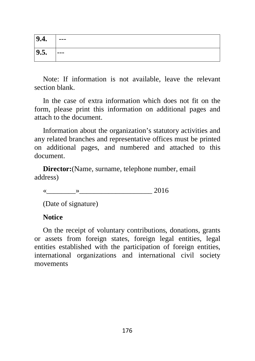| 9.4. | $---$ |
|------|-------|
| 9.5. | $---$ |

Note: If information is not available, leave the relevant section blank.

In the case of extra information which does not fit on the form, please print this information on additional pages and attach to the document.

Information about the organization's statutory activities and any related branches and representative offices must be printed on additional pages, and numbered and attached to this document.

**Director:**(Name, surname, telephone number, email address)

«  $\sim$  2016

(Date of signature)

#### **Notice**

On the receipt of voluntary contributions, donations, grants or assets from foreign states, foreign legal entities, legal entities established with the participation of foreign entities, international organizations and international civil society movements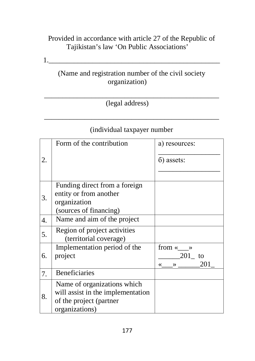# Provided in accordance with article 27 of the Republic of Tajikistan's law 'On Public Associations'

 $1.$ 

# (Name and registration number of the civil society organization)

#### \_\_\_\_\_\_\_\_\_\_\_\_\_\_\_\_\_\_\_\_\_\_\_\_\_\_\_\_\_\_\_\_\_\_\_\_\_\_\_\_\_\_\_\_\_\_\_\_ (legal address)

# (individual taxpayer number

\_\_\_\_\_\_\_\_\_\_\_\_\_\_\_\_\_\_\_\_\_\_\_\_\_\_\_\_\_\_\_\_\_\_\_\_\_\_\_\_\_\_\_\_\_\_\_\_

|    | Form of the contribution                                                                                      | a) resources:<br>6) assets:                             |
|----|---------------------------------------------------------------------------------------------------------------|---------------------------------------------------------|
| 3. | Funding direct from a foreign<br>entity or from another<br>organization<br>(sources of financing)             |                                                         |
| 4. | Name and aim of the project                                                                                   |                                                         |
| 5. | Region of project activities<br>(territorial coverage)                                                        |                                                         |
| 6. | Implementation period of the<br>project                                                                       | from « $\_\_\$<br>$201$ to<br>201<br>$\rightarrow$<br>≪ |
| 7. | <b>Beneficiaries</b>                                                                                          |                                                         |
| 8. | Name of organizations which<br>will assist in the implementation<br>of the project (partner<br>organizations) |                                                         |